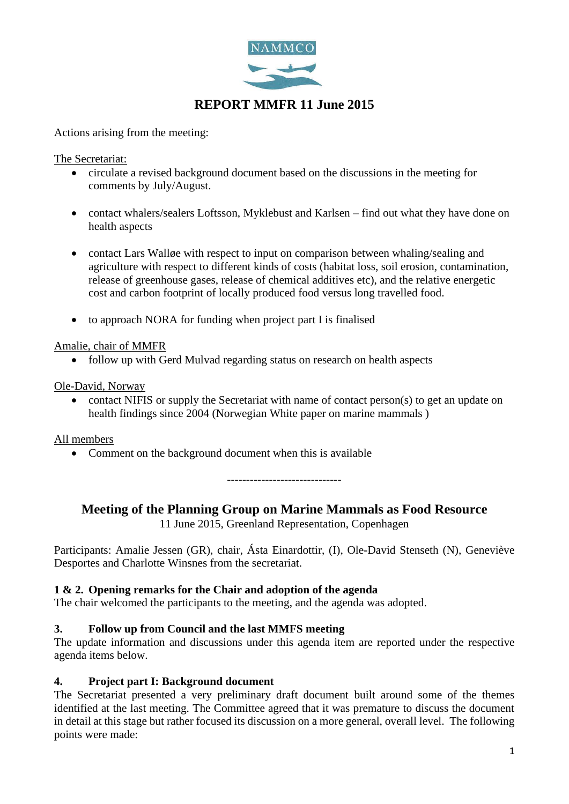

# **REPORT MMFR 11 June 2015**

Actions arising from the meeting:

The Secretariat:

- circulate a revised background document based on the discussions in the meeting for comments by July/August.
- contact whalers/sealers Loftsson, Myklebust and Karlsen find out what they have done on health aspects
- contact Lars Wallge with respect to input on comparison between whaling/sealing and agriculture with respect to different kinds of costs (habitat loss, soil erosion, contamination, release of greenhouse gases, release of chemical additives etc), and the relative energetic cost and carbon footprint of locally produced food versus long travelled food.
- to approach NORA for funding when project part I is finalised

#### Amalie, chair of MMFR

• follow up with Gerd Mulvad regarding status on research on health aspects

#### Ole-David, Norway

• contact NIFIS or supply the Secretariat with name of contact person(s) to get an update on health findings since 2004 (Norwegian White paper on marine mammals )

#### All members

• Comment on the background document when this is available

**------------------------------**

## **Meeting of the Planning Group on Marine Mammals as Food Resource**

11 June 2015, Greenland Representation, Copenhagen

Participants: Amalie Jessen (GR), chair, Ásta Einardottir, (I), Ole-David Stenseth (N), Geneviève Desportes and Charlotte Winsnes from the secretariat.

## **1 & 2. Opening remarks for the Chair and adoption of the agenda**

The chair welcomed the participants to the meeting, and the agenda was adopted.

## **3. Follow up from Council and the last MMFS meeting**

The update information and discussions under this agenda item are reported under the respective agenda items below.

#### **4. Project part I: Background document**

The Secretariat presented a very preliminary draft document built around some of the themes identified at the last meeting. The Committee agreed that it was premature to discuss the document in detail at this stage but rather focused its discussion on a more general, overall level. The following points were made: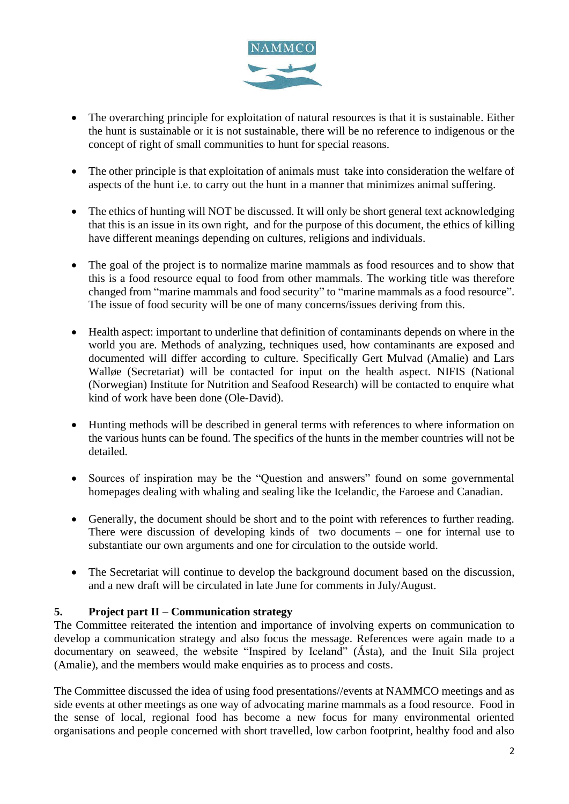

- The overarching principle for exploitation of natural resources is that it is sustainable. Either the hunt is sustainable or it is not sustainable, there will be no reference to indigenous or the concept of right of small communities to hunt for special reasons.
- The other principle is that exploitation of animals must take into consideration the welfare of aspects of the hunt i.e. to carry out the hunt in a manner that minimizes animal suffering.
- The ethics of hunting will NOT be discussed. It will only be short general text acknowledging that this is an issue in its own right, and for the purpose of this document, the ethics of killing have different meanings depending on cultures, religions and individuals.
- The goal of the project is to normalize marine mammals as food resources and to show that this is a food resource equal to food from other mammals. The working title was therefore changed from "marine mammals and food security" to "marine mammals as a food resource". The issue of food security will be one of many concerns/issues deriving from this.
- Health aspect: important to underline that definition of contaminants depends on where in the world you are. Methods of analyzing, techniques used, how contaminants are exposed and documented will differ according to culture. Specifically Gert Mulvad (Amalie) and Lars Walløe (Secretariat) will be contacted for input on the health aspect. NIFIS (National (Norwegian) Institute for Nutrition and Seafood Research) will be contacted to enquire what kind of work have been done (Ole-David).
- Hunting methods will be described in general terms with references to where information on the various hunts can be found. The specifics of the hunts in the member countries will not be detailed.
- Sources of inspiration may be the "Question and answers" found on some governmental homepages dealing with whaling and sealing like the Icelandic, the Faroese and Canadian.
- Generally, the document should be short and to the point with references to further reading. There were discussion of developing kinds of two documents – one for internal use to substantiate our own arguments and one for circulation to the outside world.
- The Secretariat will continue to develop the background document based on the discussion, and a new draft will be circulated in late June for comments in July/August.

## **5. Project part II – Communication strategy**

The Committee reiterated the intention and importance of involving experts on communication to develop a communication strategy and also focus the message. References were again made to a documentary on seaweed, the website "Inspired by Iceland" (Ásta), and the Inuit Sila project (Amalie), and the members would make enquiries as to process and costs.

The Committee discussed the idea of using food presentations//events at NAMMCO meetings and as side events at other meetings as one way of advocating marine mammals as a food resource. Food in the sense of local, regional food has become a new focus for many environmental oriented organisations and people concerned with short travelled, low carbon footprint, healthy food and also